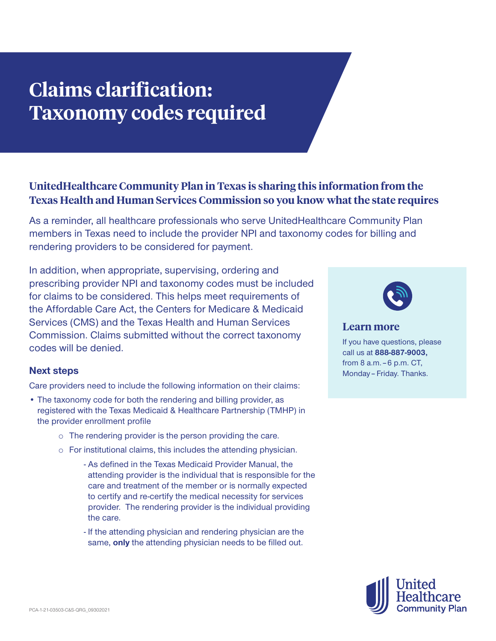## **Claims clarification: Taxonomy codes required**

## **UnitedHealthcare Community Plan in Texas is sharing this information from the Texas Health and Human Services Commission so you know what the state requires**

As a reminder, all healthcare professionals who serve UnitedHealthcare Community Plan members in Texas need to include the provider NPI and taxonomy codes for billing and rendering providers to be considered for payment.

In addition, when appropriate, supervising, ordering and prescribing provider NPI and taxonomy codes must be included for claims to be considered. This helps meet requirements of the Affordable Care Act, the Centers for Medicare & Medicaid Services (CMS) and the Texas Health and Human Services Commission. Claims submitted without the correct taxonomy codes will be denied.

## **Next steps**

Care providers need to include the following information on their claims:

- The taxonomy code for both the rendering and billing provider, as registered with the Texas Medicaid & Healthcare Partnership (TMHP) in the provider enrollment profile
	- o The rendering provider is the person providing the care.
	- o For institutional claims, this includes the attending physician.
		- As defined in the Texas Medicaid Provider Manual, the attending provider is the individual that is responsible for the care and treatment of the member or is normally expected to certify and re-certify the medical necessity for services provider. The rendering provider is the individual providing the care.
		- If the attending physician and rendering physician are the same, **only** the attending physician needs to be filled out.



**Learn more**

If you have questions, please call us at **888-887-9003,** from 8 a.m. – 6 p.m. CT, Monday – Friday. Thanks.